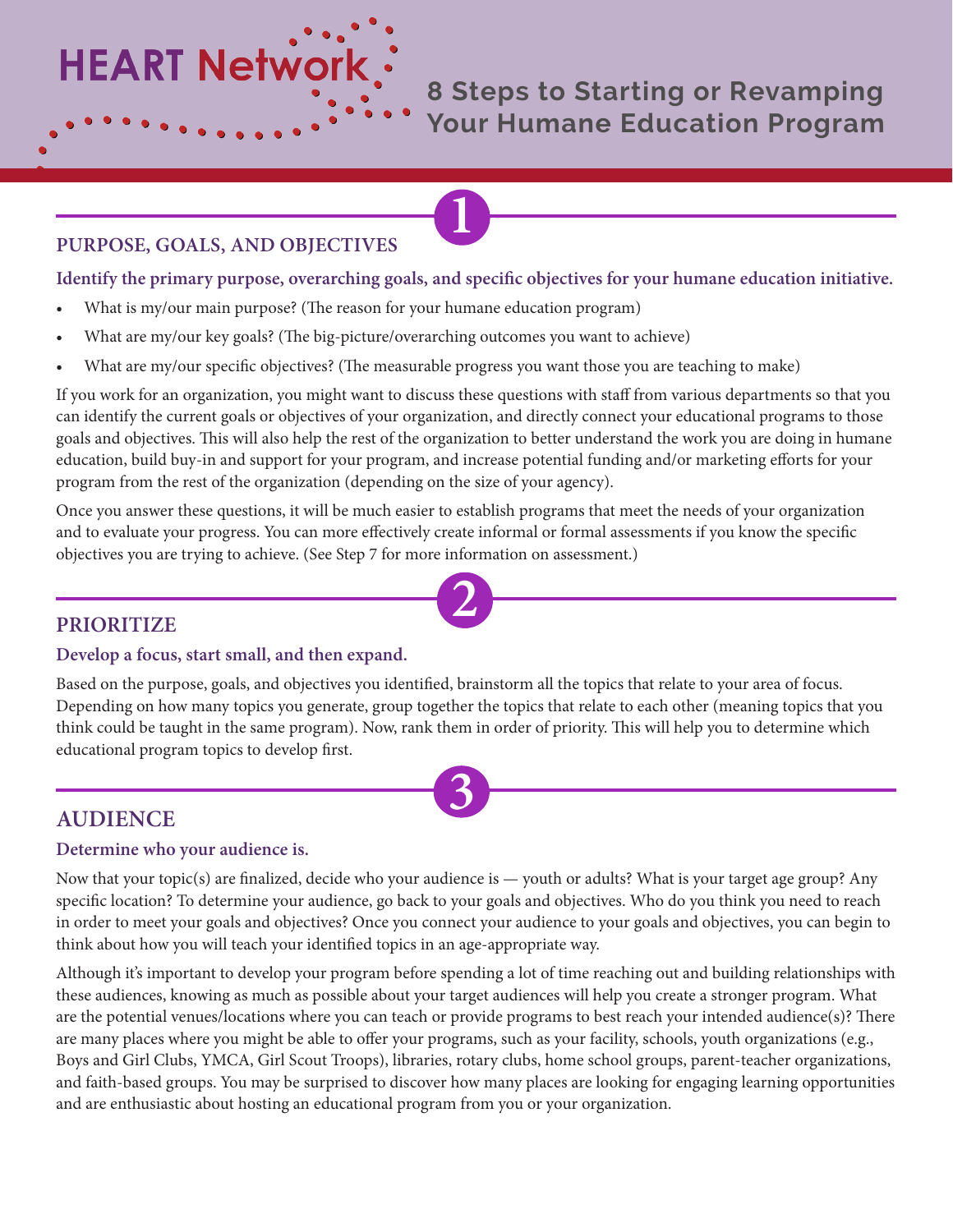**HEART Network** 

**8 Steps to Starting or Revamping Your Humane Education Program**

## **PURPOSE, GOALS, AND OBJECTIVES**

#### **Identify the primary purpose, overarching goals, and specific objectives for your humane education initiative.**

**1**

- What is my/our main purpose? (The reason for your humane education program)
- What are my/our key goals? (The big-picture/overarching outcomes you want to achieve)
- What are my/our specific objectives? (The measurable progress you want those you are teaching to make)

If you work for an organization, you might want to discuss these questions with staff from various departments so that you can identify the current goals or objectives of your organization, and directly connect your educational programs to those goals and objectives. This will also help the rest of the organization to better understand the work you are doing in humane education, build buy-in and support for your program, and increase potential funding and/or marketing efforts for your program from the rest of the organization (depending on the size of your agency).

Once you answer these questions, it will be much easier to establish programs that meet the needs of your organization and to evaluate your progress. You can more effectively create informal or formal assessments if you know the specific objectives you are trying to achieve. (See Step 7 for more information on assessment.)

**2**

## **PRIORITIZE**

#### **Develop a focus, start small, and then expand.**

Based on the purpose, goals, and objectives you identified, brainstorm all the topics that relate to your area of focus. Depending on how many topics you generate, group together the topics that relate to each other (meaning topics that you think could be taught in the same program). Now, rank them in order of priority. This will help you to determine which educational program topics to develop first.

**3**

# **AUDIENCE**

#### **Determine who your audience is.**

Now that your topic(s) are finalized, decide who your audience is — youth or adults? What is your target age group? Any specific location? To determine your audience, go back to your goals and objectives. Who do you think you need to reach in order to meet your goals and objectives? Once you connect your audience to your goals and objectives, you can begin to think about how you will teach your identified topics in an age-appropriate way.

Although it's important to develop your program before spending a lot of time reaching out and building relationships with these audiences, knowing as much as possible about your target audiences will help you create a stronger program. What are the potential venues/locations where you can teach or provide programs to best reach your intended audience(s)? There are many places where you might be able to offer your programs, such as your facility, schools, youth organizations (e.g., Boys and Girl Clubs, YMCA, Girl Scout Troops), libraries, rotary clubs, home school groups, parent-teacher organizations, and faith-based groups. You may be surprised to discover how many places are looking for engaging learning opportunities and are enthusiastic about hosting an educational program from you or your organization.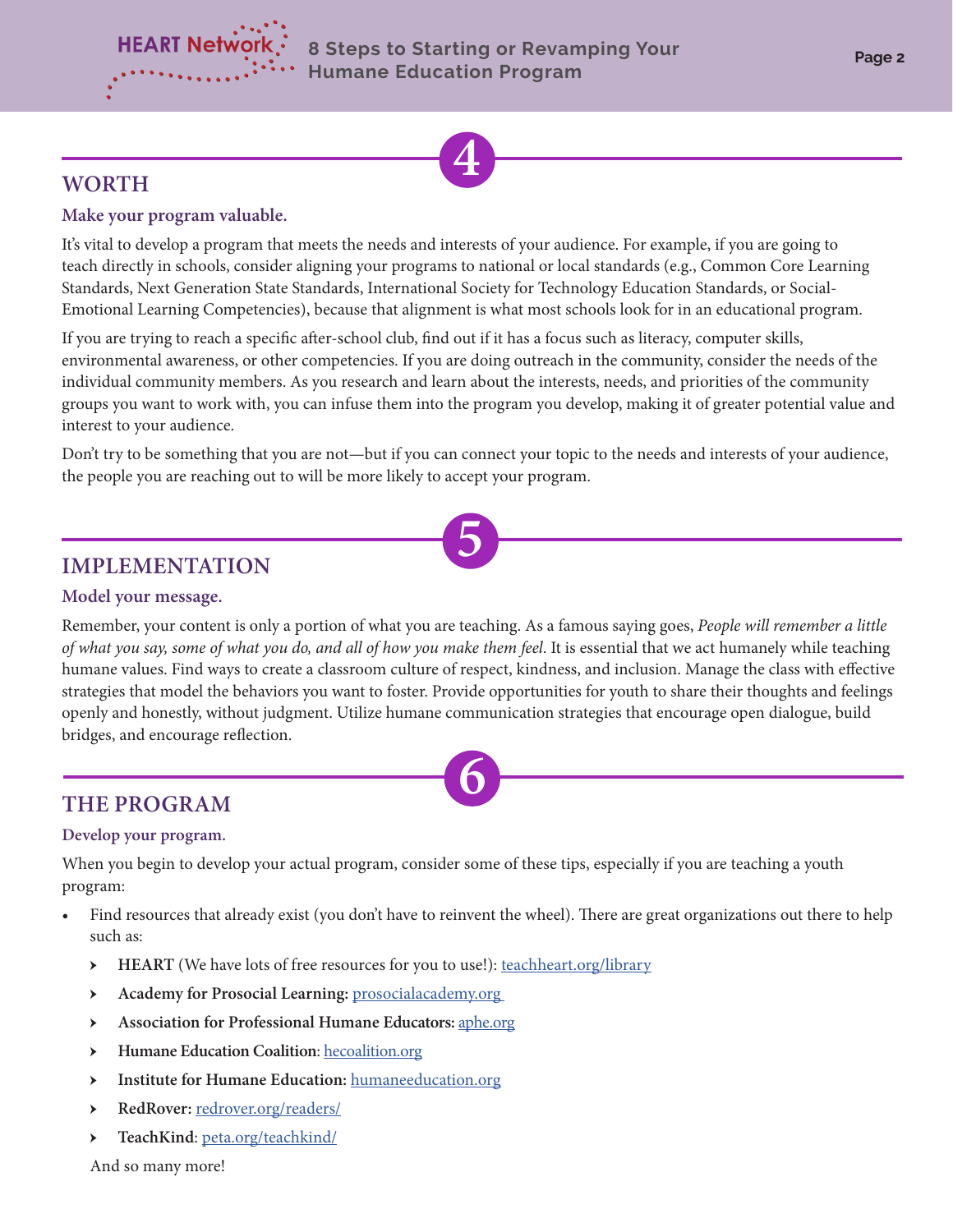



# **WORTH**

### **Make your program valuable.**

It's vital to develop a program that meets the needs and interests of your audience. For example, if you are going to teach directly in schools, consider aligning your programs to national or local standards (e.g., Common Core Learning Standards, Next Generation State Standards, International Society for Technology Education Standards, or Social-Emotional Learning Competencies), because that alignment is what most schools look for in an educational program.

If you are trying to reach a specific after-school club, find out if it has a focus such as literacy, computer skills, environmental awareness, or other competencies. If you are doing outreach in the community, consider the needs of the individual community members. As you research and learn about the interests, needs, and priorities of the community groups you want to work with, you can infuse them into the program you develop, making it of greater potential value and interest to your audience.

Don't try to be something that you are not—but if you can connect your topic to the needs and interests of your audience, the people you are reaching out to will be more likely to accept your program.

**5**

# **IMPLEMENTATION**

#### **Model your message.**

Remember, your content is only a portion of what you are teaching. As a famous saying goes, *People will remember a little of what you say, some of what you do, and all of how you make them feel*. It is essential that we act humanely while teaching humane values. Find ways to create a classroom culture of respect, kindness, and inclusion. Manage the class with effective strategies that model the behaviors you want to foster. Provide opportunities for youth to share their thoughts and feelings openly and honestly, without judgment. Utilize humane communication strategies that encourage open dialogue, build bridges, and encourage reflection.



# **THE PROGRAM**

#### **Develop your program.**

When you begin to develop your actual program, consider some of these tips, especially if you are teaching a youth program:

- Find resources that already exist (you don't have to reinvent the wheel). There are great organizations out there to help such as:
	- HEART (We have lots of free resources for you to use!): [teachheart.org/library](http://teachheart.org/library)
	- ӹ **Academy for Prosocial Learning:** [prosocialacademy.org](http://prosocialacademy.org)
	- **EXECUTE:** Association for Professional Humane Educators: [aphe.org](http://aphe.org)
	- **EXECUTE:** Humane Education Coalition: [hecoalition.org](http://hecoalition.org)
	- **EXECUTE: Institute for Humane Education: [humaneeducation.org](http://humaneeducation.org)**
	- ӹ **RedRover:** [redrover.org/readers/](https://redrover.org/readers/)
	- > TeachKind: [peta.org/teachkind/](https://www.peta.org/teachkind/)

And so many more!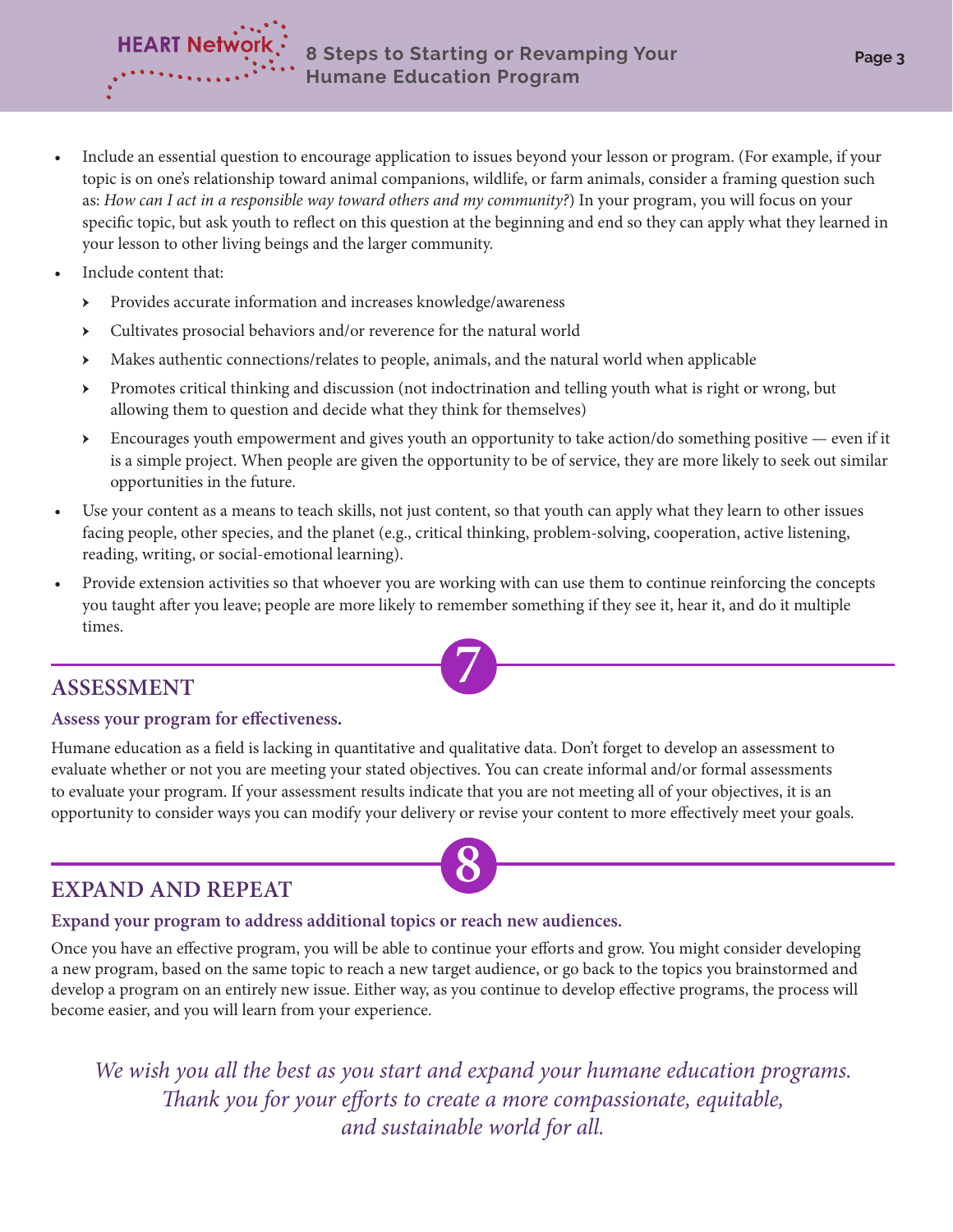

- Include an essential question to encourage application to issues beyond your lesson or program. (For example, if your topic is on one's relationship toward animal companions, wildlife, or farm animals, consider a framing question such as: *How can I act in a responsible way toward others and my community?*) In your program, you will focus on your specific topic, but ask youth to reflect on this question at the beginning and end so they can apply what they learned in your lesson to other living beings and the larger community.
- Include content that:

**HEART Networl** 

- ӹ Provides accurate information and increases knowledge/awareness
- **EXECULTE:** Cultivates prosocial behaviors and/or reverence for the natural world
- **EXECUTE:** Makes authentic connections/relates to people, animals, and the natural world when applicable
- **Exercise** Promotes critical thinking and discussion (not indoctrination and telling youth what is right or wrong, but allowing them to question and decide what they think for themselves)
- $\triangleright$  Encourages youth empowerment and gives youth an opportunity to take action/do something positive even if it is a simple project. When people are given the opportunity to be of service, they are more likely to seek out similar opportunities in the future.
- Use your content as a means to teach skills, not just content, so that youth can apply what they learn to other issues facing people, other species, and the planet (e.g., critical thinking, problem-solving, cooperation, active listening, reading, writing, or social-emotional learning).
- Provide extension activities so that whoever you are working with can use them to continue reinforcing the concepts you taught after you leave; people are more likely to remember something if they see it, hear it, and do it multiple times.

# **ASSESSMENT 7**

## **Assess your program for effectiveness.**

Humane education as a field is lacking in quantitative and qualitative data. Don't forget to develop an assessment to evaluate whether or not you are meeting your stated objectives. You can create informal and/or formal assessments to evaluate your program. If your assessment results indicate that you are not meeting all of your objectives, it is an opportunity to consider ways you can modify your delivery or revise your content to more effectively meet your goals.

# **8 EXPAND AND REPEAT**

## **Expand your program to address additional topics or reach new audiences.**

Once you have an effective program, you will be able to continue your efforts and grow. You might consider developing a new program, based on the same topic to reach a new target audience, or go back to the topics you brainstormed and develop a program on an entirely new issue. Either way, as you continue to develop effective programs, the process will become easier, and you will learn from your experience.

*We wish you all the best as you start and expand your humane education programs. Thank you for your efforts to create a more compassionate, equitable, and sustainable world for all.*